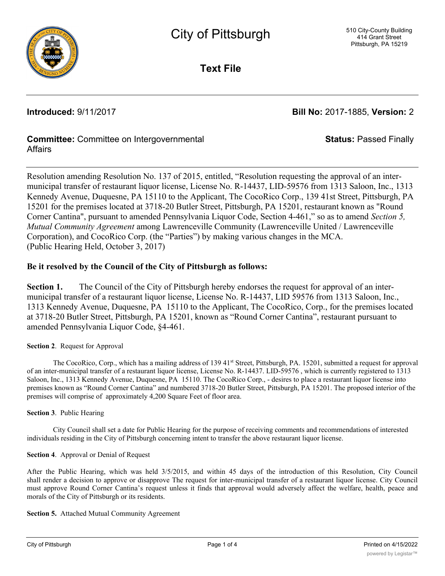

**Text File**

**Introduced:** 9/11/2017 **Bill No:** 2017-1885, **Version:** 2

**Status:** Passed Finally

# **Committee:** Committee on Intergovernmental Affairs

Resolution amending Resolution No. 137 of 2015, entitled, "Resolution requesting the approval of an intermunicipal transfer of restaurant liquor license, License No. R-14437, LID-59576 from 1313 Saloon, Inc., 1313 Kennedy Avenue, Duquesne, PA 15110 to the Applicant, The CocoRico Corp., 139 41st Street, Pittsburgh, PA 15201 for the premises located at 3718-20 Butler Street, Pittsburgh, PA 15201, restaurant known as "Round Corner Cantina", pursuant to amended Pennsylvania Liquor Code, Section 4-461," so as to amend *Section 5, Mutual Community Agreement* among Lawrenceville Community (Lawrenceville United / Lawrenceville Corporation), and CocoRico Corp. (the "Parties") by making various changes in the MCA. (Public Hearing Held, October 3, 2017)

# **Be it resolved by the Council of the City of Pittsburgh as follows:**

**Section 1.** The Council of the City of Pittsburgh hereby endorses the request for approval of an intermunicipal transfer of a restaurant liquor license, License No. R-14437, LID 59576 from 1313 Saloon, Inc., 1313 Kennedy Avenue, Duquesne, PA 15110 to the Applicant, The CocoRico, Corp., for the premises located at 3718-20 Butler Street, Pittsburgh, PA 15201, known as "Round Corner Cantina", restaurant pursuant to amended Pennsylvania Liquor Code, §4-461.

## **Section 2**. Request for Approval

The CocoRico, Corp., which has a mailing address of 139 41<sup>st</sup> Street, Pittsburgh, PA. 15201, submitted a request for approval of an inter-municipal transfer of a restaurant liquor license, License No. R-14437. LID-59576 , which is currently registered to 1313 Saloon, Inc., 1313 Kennedy Avenue, Duquesne, PA 15110. The CocoRico Corp., - desires to place a restaurant liquor license into premises known as "Round Corner Cantina" and numbered 3718-20 Butler Street, Pittsburgh, PA 15201. The proposed interior of the premises will comprise of approximately 4,200 Square Feet of floor area.

## **Section 3**. Public Hearing

City Council shall set a date for Public Hearing for the purpose of receiving comments and recommendations of interested individuals residing in the City of Pittsburgh concerning intent to transfer the above restaurant liquor license.

## **Section 4**. Approval or Denial of Request

After the Public Hearing, which was held 3/5/2015, and within 45 days of the introduction of this Resolution, City Council shall render a decision to approve or disapprove The request for inter-municipal transfer of a restaurant liquor license. City Council must approve Round Corner Cantina's request unless it finds that approval would adversely affect the welfare, health, peace and morals of the City of Pittsburgh or its residents.

## **Section 5.** Attached Mutual Community Agreement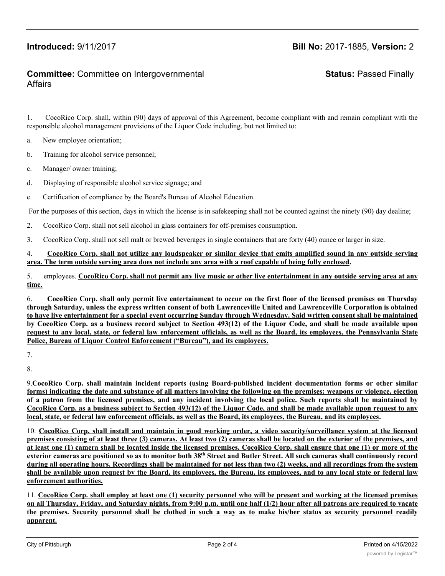# **Introduced:** 9/11/2017 **Bill No:** 2017-1885, **Version:** 2

## **Committee:** Committee on Intergovernmental Affairs

# **Status:** Passed Finally

1. CocoRico Corp. shall, within (90) days of approval of this Agreement, become compliant with and remain compliant with the responsible alcohol management provisions of the Liquor Code including, but not limited to:

- a. New employee orientation;
- b. Training for alcohol service personnel;
- c. Manager/ owner training;
- d. Displaying of responsible alcohol service signage; and
- e. Certification of compliance by the Board's Bureau of Alcohol Education.

For the purposes of this section, days in which the license is in safekeeping shall not be counted against the ninety (90) day dealine;

2. CocoRico Corp. shall not sell alcohol in glass containers for off-premises consumption.

3. CocoRico Corp. shall not sell malt or brewed beverages in single containers that are forty (40) ounce or larger in size.

### 4. CocoRico Corp. shall not utilize any loudspeaker or similar device that emits amplified sound in any outside serving **area. The term outside serving area does not include any area with a roof capable of being fully enclosed.**

5. employees. CocoRico Corp. shall not permit any live music or other live entertainment in any outside serving area at any **time.**

6. CocoRico Corp. shall only permit live entertainment to occur on the first floor of the licensed premises on Thursday through Saturday, unless the express written consent of both Lawrenceville United and Lawrenceville Corporation is obtained to have live entertainment for a special event occurring Sunday through Wednesday. Said written consent shall be maintained by CocoRico Corp. as a business record subject to Section 493(12) of the Liquor Code, and shall be made available upon request to any local, state, or federal law enforcement officials, as well as the Board, its employees, the Pennsylvania State **Police, Bureau of Liquor Control Enforcement ("Bureau"), and its employees.**

8.

9.**CocoRico Corp. shall maintain incident reports (using Board-published incident documentation forms or other similar** forms) indicating the date and substance of all matters involving the following on the premises: weapons or violence, ejection of a patron from the licensed premises, and any incident involving the local police. Such reports shall be maintained by CocoRico Corp. as a business subject to Section 493(12) of the Liquor Code, and shall be made available upon request to any **local, state, or federal law enforcement officials, as well as the Board, its employees, the Bureau, and its employees.**

10. CocoRico Corp. shall install and maintain in good working order, a video security/surveillance system at the licensed premises consisting of at least three (3) cameras. At least two (2) cameras shall be located on the exterior of the premises, and at least one (1) camera shall be located inside the licensed premises. CocoRico Corp. shall ensure that one (1) or more of the exterior cameras are positioned so as to monitor both 38<sup>th</sup> Street and Butler Street. All such cameras shall continuously record during all operating hours. Recordings shall be maintained for not less than two (2) weeks, and all recordings from the system shall be available upon request by the Board, its employees, the Bureau, its employees, and to any local state or federal law **enforcement authorities.**

11. CocoRico Corp. shall employ at least one (1) security personnel who will be present and working at the licensed premises on all Thursday, Friday, and Saturday nights, from 9:00 p.m. until one half (1/2) hour after all patrons are required to vacate the premises. Security personnel shall be clothed in such a way as to make his/her status as security personnel readily **apparent.**

<sup>7.</sup>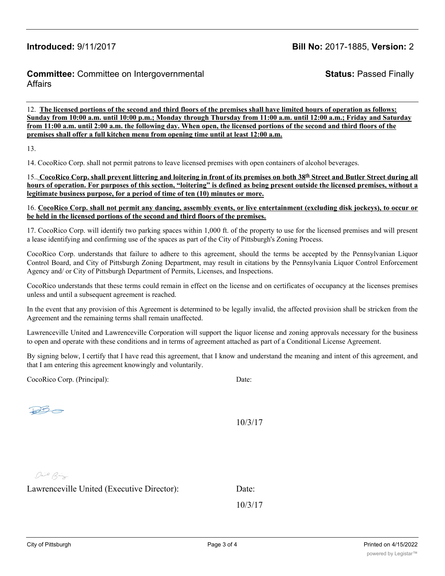# **Introduced:** 9/11/2017 **Bill No:** 2017-1885, **Version:** 2

## **Committee:** Committee on Intergovernmental Affairs

**Status:** Passed Finally

12. **The licensed portions of the second and third floors of the premises shall have limited hours of operation as follows: Sunday from 10:00 a.m. until 10:00 p.m.; Monday through Thursday from 11:00 a.m. until 12:00 a.m.; Friday and Saturday from 11:00 a.m. until 2:00 a.m. the following day. When open, the licensed portions of the second and third floors of the premises shall offer a full kitchen menu from opening time until at least 12:00 a.m.**

13.

14. CocoRico Corp. shall not permit patrons to leave licensed premises with open containers of alcohol beverages.

15. CocoRico Corp. shall prevent littering and loitering in front of its premises on both 38<sup>th</sup> Street and Butler Street during all hours of operation. For purposes of this section, "loitering" is defined as being present outside the licensed premises, without a **legitimate business purpose, for a period of time of ten (10) minutes or more.**

16. CocoRico Corp. shall not permit any dancing, assembly events, or live entertainment (excluding disk jockeys), to occur or **be held in the licensed portions of the second and third floors of the premises.**

17. CocoRico Corp. will identify two parking spaces within 1,000 ft. of the property to use for the licensed premises and will present a lease identifying and confirming use of the spaces as part of the City of Pittsburgh's Zoning Process.

CocoRico Corp. understands that failure to adhere to this agreement, should the terms be accepted by the Pennsylvanian Liquor Control Board, and City of Pittsburgh Zoning Department, may result in citations by the Pennsylvania Liquor Control Enforcement Agency and/ or City of Pittsburgh Department of Permits, Licenses, and Inspections.

CocoRico understands that these terms could remain in effect on the license and on certificates of occupancy at the licenses premises unless and until a subsequent agreement is reached.

In the event that any provision of this Agreement is determined to be legally invalid, the affected provision shall be stricken from the Agreement and the remaining terms shall remain unaffected.

Lawrenceville United and Lawrenceville Corporation will support the liquor license and zoning approvals necessary for the business to open and operate with these conditions and in terms of agreement attached as part of a Conditional License Agreement.

By signing below, I certify that I have read this agreement, that I know and understand the meaning and intent of this agreement, and that I am entering this agreement knowingly and voluntarily.

CocoRico Corp. (Principal): Date:

 $DB$ 

10/3/17

Dail Big

Lawrenceville United (Executive Director): Date:

10/3/17